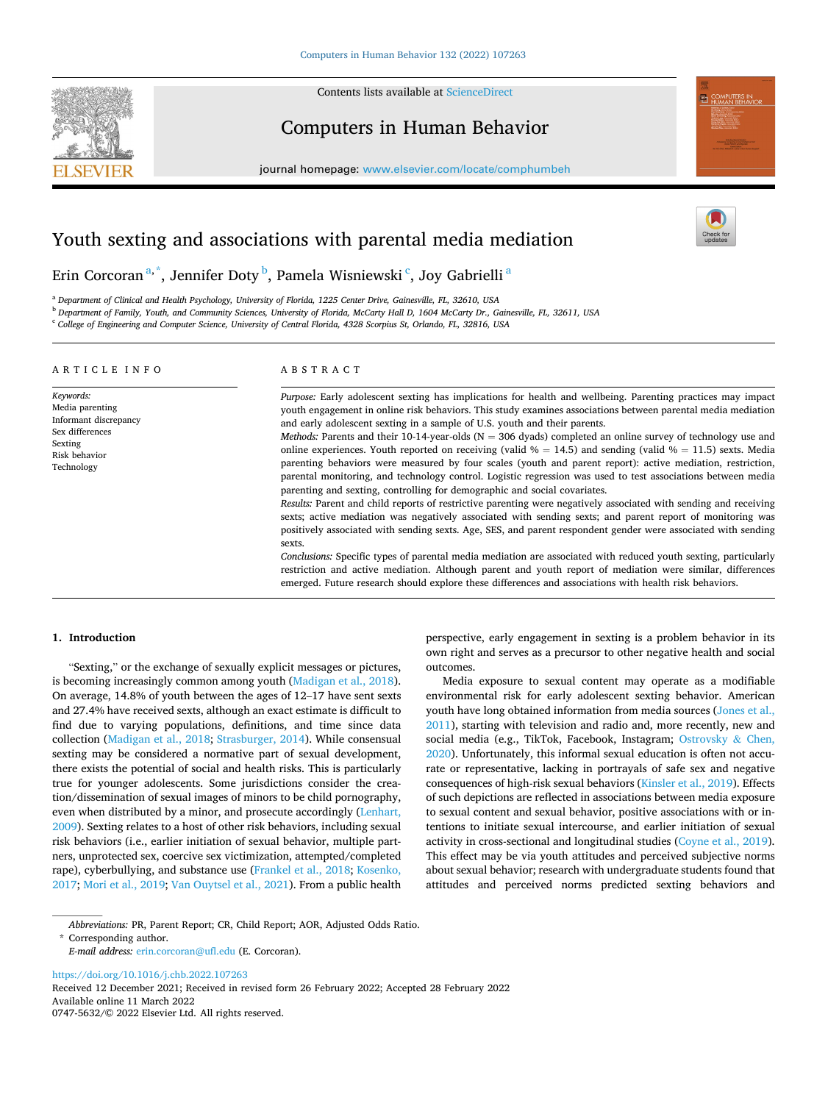

Contents lists available at [ScienceDirect](www.sciencedirect.com/science/journal/07475632)

# Computers in Human Behavior

journal homepage: [www.elsevier.com/locate/comphumbeh](https://www.elsevier.com/locate/comphumbeh) 



Erin Corcoran $^{\mathrm{a},\mathrm{*}}$ , Jennifer Doty $^{\mathrm{b}}$ , Pamela Wisniewski  $^{\mathrm{c}}$ , Joy Gabrielli  $^{\mathrm{a}}$ 

<sup>a</sup> *Department of Clinical and Health Psychology, University of Florida, 1225 Center Drive, Gainesville, FL, 32610, USA* 

<sup>b</sup> *Department of Family, Youth, and Community Sciences, University of Florida, McCarty Hall D, 1604 McCarty Dr., Gainesville, FL, 32611, USA* 

<sup>c</sup> *College of Engineering and Computer Science, University of Central Florida, 4328 Scorpius St, Orlando, FL, 32816, USA* 

#### ARTICLE INFO

*Keywords:*  Media parenting Informant discrepancy Sex differences

Sexting Risk behavior Technology

# ABSTRACT

*Purpose:* Early adolescent sexting has implications for health and wellbeing. Parenting practices may impact youth engagement in online risk behaviors. This study examines associations between parental media mediation and early adolescent sexting in a sample of U.S. youth and their parents.

*Methods: Parents and their 10-14-year-olds* (N = 306 dyads) completed an online survey of technology use and online experiences. Youth reported on receiving (valid  $% = 14.5$ ) and sending (valid  $% = 11.5$ ) sexts. Media parenting behaviors were measured by four scales (youth and parent report): active mediation, restriction, parental monitoring, and technology control. Logistic regression was used to test associations between media parenting and sexting, controlling for demographic and social covariates.

*Results:* Parent and child reports of restrictive parenting were negatively associated with sending and receiving sexts; active mediation was negatively associated with sending sexts; and parent report of monitoring was positively associated with sending sexts. Age, SES, and parent respondent gender were associated with sending sexts.

*Conclusions:* Specific types of parental media mediation are associated with reduced youth sexting, particularly restriction and active mediation. Although parent and youth report of mediation were similar, differences emerged. Future research should explore these differences and associations with health risk behaviors.

#### **1. Introduction**

"Sexting," or the exchange of sexually explicit messages or pictures, is becoming increasingly common among youth ([Madigan et al., 2018](#page-8-0)). On average, 14.8% of youth between the ages of 12–17 have sent sexts and 27.4% have received sexts, although an exact estimate is difficult to find due to varying populations, definitions, and time since data collection ([Madigan et al., 2018](#page-8-0); [Strasburger, 2014](#page-8-0)). While consensual sexting may be considered a normative part of sexual development, there exists the potential of social and health risks. This is particularly true for younger adolescents. Some jurisdictions consider the creation/dissemination of sexual images of minors to be child pornography, even when distributed by a minor, and prosecute accordingly [\(Lenhart,](#page-8-0)  [2009\)](#page-8-0). Sexting relates to a host of other risk behaviors, including sexual risk behaviors (i.e., earlier initiation of sexual behavior, multiple partners, unprotected sex, coercive sex victimization, attempted/completed rape), cyberbullying, and substance use ([Frankel et al., 2018](#page-7-0); [Kosenko,](#page-8-0)  [2017; Mori et al., 2019; Van Ouytsel et al., 2021](#page-8-0)). From a public health perspective, early engagement in sexting is a problem behavior in its own right and serves as a precursor to other negative health and social outcomes.

Media exposure to sexual content may operate as a modifiable environmental risk for early adolescent sexting behavior. American youth have long obtained information from media sources [\(Jones et al.,](#page-8-0)  [2011\)](#page-8-0), starting with television and radio and, more recently, new and social media (e.g., TikTok, Facebook, Instagram; [Ostrovsky](#page-8-0) & Chen, [2020\)](#page-8-0). Unfortunately, this informal sexual education is often not accurate or representative, lacking in portrayals of safe sex and negative consequences of high-risk sexual behaviors [\(Kinsler et al., 2019](#page-8-0)). Effects of such depictions are reflected in associations between media exposure to sexual content and sexual behavior, positive associations with or intentions to initiate sexual intercourse, and earlier initiation of sexual activity in cross-sectional and longitudinal studies [\(Coyne et al., 2019](#page-7-0)). This effect may be via youth attitudes and perceived subjective norms about sexual behavior; research with undergraduate students found that attitudes and perceived norms predicted sexting behaviors and

*Abbreviations:* PR, Parent Report; CR, Child Report; AOR, Adjusted Odds Ratio.

\* Corresponding author.

<https://doi.org/10.1016/j.chb.2022.107263>

Available online 11 March 2022 0747-5632/© 2022 Elsevier Ltd. All rights reserved. Received 12 December 2021; Received in revised form 26 February 2022; Accepted 28 February 2022

*E-mail address:* [erin.corcoran@ufl.edu](mailto:erin.corcoran@ufl.edu) (E. Corcoran).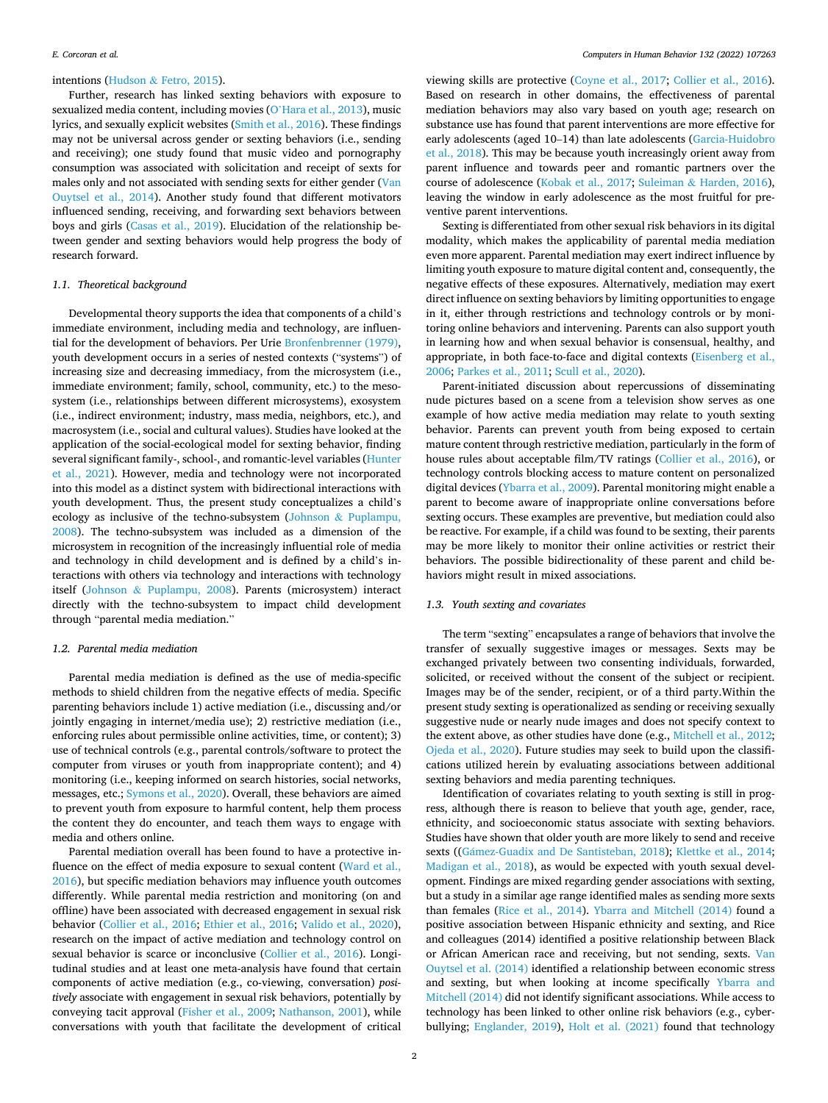# intentions (Hudson & [Fetro, 2015](#page-8-0)).

Further, research has linked sexting behaviors with exposure to sexualized media content, including movies (O'[Hara et al., 2013](#page-8-0)), music lyrics, and sexually explicit websites [\(Smith et al., 2016\)](#page-8-0). These findings may not be universal across gender or sexting behaviors (i.e., sending and receiving); one study found that music video and pornography consumption was associated with solicitation and receipt of sexts for males only and not associated with sending sexts for either gender ([Van](#page-8-0)  [Ouytsel et al., 2014\)](#page-8-0). Another study found that different motivators influenced sending, receiving, and forwarding sext behaviors between boys and girls ([Casas et al., 2019\)](#page-7-0). Elucidation of the relationship between gender and sexting behaviors would help progress the body of research forward.

## *1.1. Theoretical background*

Developmental theory supports the idea that components of a child's immediate environment, including media and technology, are influential for the development of behaviors. Per Urie [Bronfenbrenner \(1979\)](#page-7-0), youth development occurs in a series of nested contexts ("systems") of increasing size and decreasing immediacy, from the microsystem (i.e., immediate environment; family, school, community, etc.) to the mesosystem (i.e., relationships between different microsystems), exosystem (i.e., indirect environment; industry, mass media, neighbors, etc.), and macrosystem (i.e., social and cultural values). Studies have looked at the application of the social-ecological model for sexting behavior, finding several significant family-, school-, and romantic-level variables ([Hunter](#page-8-0)  [et al., 2021](#page-8-0)). However, media and technology were not incorporated into this model as a distinct system with bidirectional interactions with youth development. Thus, the present study conceptualizes a child's ecology as inclusive of the techno-subsystem (Johnson & [Puplampu,](#page-8-0)  [2008\)](#page-8-0). The techno-subsystem was included as a dimension of the microsystem in recognition of the increasingly influential role of media and technology in child development and is defined by a child's interactions with others via technology and interactions with technology itself (Johnson & [Puplampu, 2008\)](#page-8-0). Parents (microsystem) interact directly with the techno-subsystem to impact child development through "parental media mediation."

# *1.2. Parental media mediation*

Parental media mediation is defined as the use of media-specific methods to shield children from the negative effects of media. Specific parenting behaviors include 1) active mediation (i.e., discussing and/or jointly engaging in internet/media use); 2) restrictive mediation (i.e., enforcing rules about permissible online activities, time, or content); 3) use of technical controls (e.g., parental controls/software to protect the computer from viruses or youth from inappropriate content); and 4) monitoring (i.e., keeping informed on search histories, social networks, messages, etc.; [Symons et al., 2020\)](#page-8-0). Overall, these behaviors are aimed to prevent youth from exposure to harmful content, help them process the content they do encounter, and teach them ways to engage with media and others online.

Parental mediation overall has been found to have a protective influence on the effect of media exposure to sexual content ([Ward et al.,](#page-8-0)  [2016\)](#page-8-0), but specific mediation behaviors may influence youth outcomes differently. While parental media restriction and monitoring (on and offline) have been associated with decreased engagement in sexual risk behavior [\(Collier et al., 2016;](#page-7-0) [Ethier et al., 2016;](#page-7-0) [Valido et al., 2020](#page-8-0)), research on the impact of active mediation and technology control on sexual behavior is scarce or inconclusive [\(Collier et al., 2016](#page-7-0)). Longitudinal studies and at least one meta-analysis have found that certain components of active mediation (e.g., co-viewing, conversation) *positively* associate with engagement in sexual risk behaviors, potentially by conveying tacit approval [\(Fisher et al., 2009;](#page-7-0) [Nathanson, 2001](#page-8-0)), while conversations with youth that facilitate the development of critical

viewing skills are protective [\(Coyne et al., 2017;](#page-7-0) [Collier et al., 2016](#page-7-0)). Based on research in other domains, the effectiveness of parental mediation behaviors may also vary based on youth age; research on substance use has found that parent interventions are more effective for early adolescents (aged 10–14) than late adolescents ([Garcia-Huidobro](#page-7-0)  [et al., 2018\)](#page-7-0). This may be because youth increasingly orient away from parent influence and towards peer and romantic partners over the course of adolescence [\(Kobak et al., 2017;](#page-8-0) Suleiman & [Harden, 2016](#page-8-0)), leaving the window in early adolescence as the most fruitful for preventive parent interventions.

Sexting is differentiated from other sexual risk behaviors in its digital modality, which makes the applicability of parental media mediation even more apparent. Parental mediation may exert indirect influence by limiting youth exposure to mature digital content and, consequently, the negative effects of these exposures. Alternatively, mediation may exert direct influence on sexting behaviors by limiting opportunities to engage in it, either through restrictions and technology controls or by monitoring online behaviors and intervening. Parents can also support youth in learning how and when sexual behavior is consensual, healthy, and appropriate, in both face-to-face and digital contexts [\(Eisenberg et al.,](#page-7-0)  [2006;](#page-7-0) [Parkes et al., 2011;](#page-8-0) [Scull et al., 2020](#page-8-0)).

Parent-initiated discussion about repercussions of disseminating nude pictures based on a scene from a television show serves as one example of how active media mediation may relate to youth sexting behavior. Parents can prevent youth from being exposed to certain mature content through restrictive mediation, particularly in the form of house rules about acceptable film/TV ratings [\(Collier et al., 2016](#page-7-0)), or technology controls blocking access to mature content on personalized digital devices ([Ybarra et al., 2009\)](#page-8-0). Parental monitoring might enable a parent to become aware of inappropriate online conversations before sexting occurs. These examples are preventive, but mediation could also be reactive. For example, if a child was found to be sexting, their parents may be more likely to monitor their online activities or restrict their behaviors. The possible bidirectionality of these parent and child behaviors might result in mixed associations.

#### *1.3. Youth sexting and covariates*

The term "sexting" encapsulates a range of behaviors that involve the transfer of sexually suggestive images or messages. Sexts may be exchanged privately between two consenting individuals, forwarded, solicited, or received without the consent of the subject or recipient. Images may be of the sender, recipient, or of a third party.Within the present study sexting is operationalized as sending or receiving sexually suggestive nude or nearly nude images and does not specify context to the extent above, as other studies have done (e.g., [Mitchell et al., 2012](#page-8-0); [Ojeda et al., 2020](#page-8-0)). Future studies may seek to build upon the classifications utilized herein by evaluating associations between additional sexting behaviors and media parenting techniques.

Identification of covariates relating to youth sexting is still in progress, although there is reason to believe that youth age, gender, race, ethnicity, and socioeconomic status associate with sexting behaviors. Studies have shown that older youth are more likely to send and receive sexts ((Gámez-Guadix [and De Santisteban, 2018\)](#page-7-0); [Klettke et al., 2014](#page-8-0); [Madigan et al., 2018](#page-8-0)), as would be expected with youth sexual development. Findings are mixed regarding gender associations with sexting, but a study in a similar age range identified males as sending more sexts than females ([Rice et al., 2014\)](#page-8-0). [Ybarra and Mitchell \(2014\)](#page-8-0) found a positive association between Hispanic ethnicity and sexting, and Rice and colleagues (2014) identified a positive relationship between Black or African American race and receiving, but not sending, sexts. [Van](#page-8-0)  [Ouytsel et al. \(2014\)](#page-8-0) identified a relationship between economic stress and sexting, but when looking at income specifically [Ybarra and](#page-8-0)  [Mitchell \(2014\)](#page-8-0) did not identify significant associations. While access to technology has been linked to other online risk behaviors (e.g., cyberbullying; [Englander, 2019\)](#page-7-0), [Holt et al. \(2021\)](#page-8-0) found that technology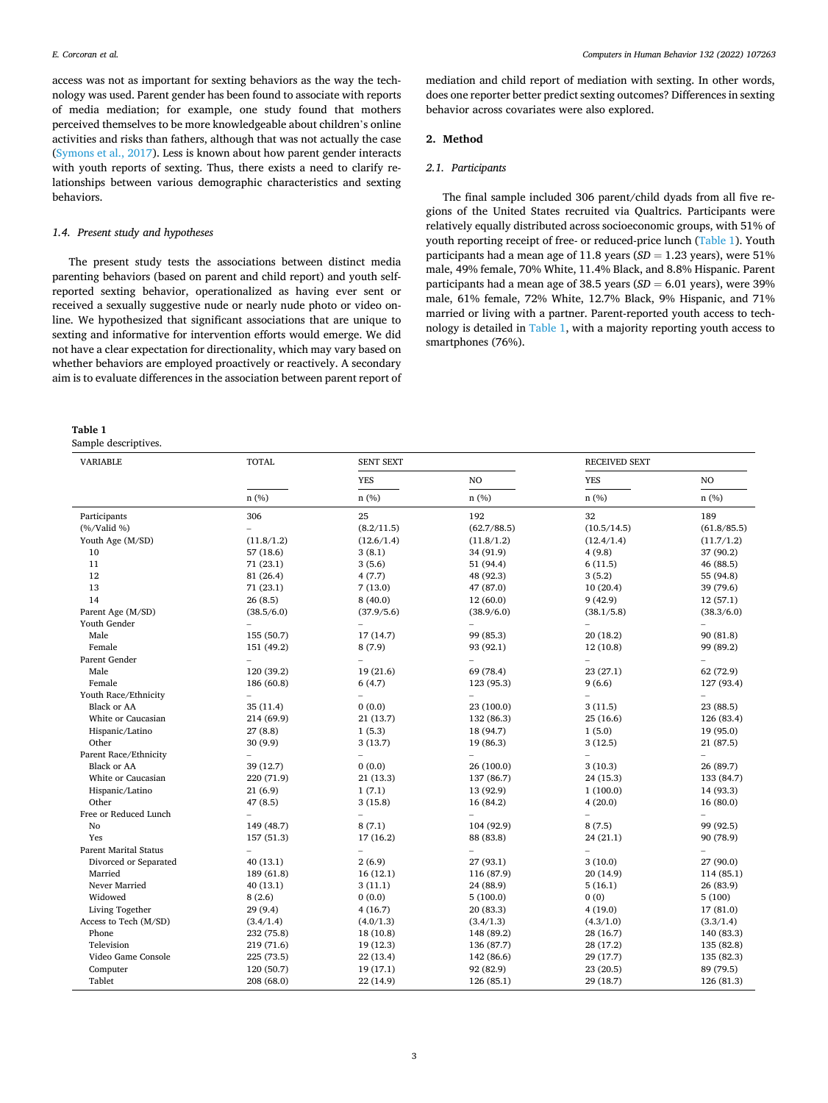access was not as important for sexting behaviors as the way the technology was used. Parent gender has been found to associate with reports of media mediation; for example, one study found that mothers perceived themselves to be more knowledgeable about children's online activities and risks than fathers, although that was not actually the case ([Symons et al., 2017\)](#page-8-0). Less is known about how parent gender interacts with youth reports of sexting. Thus, there exists a need to clarify relationships between various demographic characteristics and sexting behaviors.

# *1.4. Present study and hypotheses*

The present study tests the associations between distinct media parenting behaviors (based on parent and child report) and youth selfreported sexting behavior, operationalized as having ever sent or received a sexually suggestive nude or nearly nude photo or video online. We hypothesized that significant associations that are unique to sexting and informative for intervention efforts would emerge. We did not have a clear expectation for directionality, which may vary based on whether behaviors are employed proactively or reactively. A secondary aim is to evaluate differences in the association between parent report of

**Table 1** 

Sample descriptives.

mediation and child report of mediation with sexting. In other words, does one reporter better predict sexting outcomes? Differences in sexting behavior across covariates were also explored.

#### **2. Method**

#### *2.1. Participants*

The final sample included 306 parent/child dyads from all five regions of the United States recruited via Qualtrics. Participants were relatively equally distributed across socioeconomic groups, with 51% of youth reporting receipt of free- or reduced-price lunch (Table 1). Youth participants had a mean age of 11.8 years (*SD* = 1.23 years), were 51% male, 49% female, 70% White, 11.4% Black, and 8.8% Hispanic. Parent participants had a mean age of 38.5 years (*SD* = 6.01 years), were 39% male, 61% female, 72% White, 12.7% Black, 9% Hispanic, and 71% married or living with a partner. Parent-reported youth access to technology is detailed in Table 1, with a majority reporting youth access to smartphones (76%).

| <b>VARIABLE</b>                      | <b>TOTAL</b>             | <b>SENT SEXT</b>         |             | <b>RECEIVED SEXT</b>     |                                       |
|--------------------------------------|--------------------------|--------------------------|-------------|--------------------------|---------------------------------------|
|                                      |                          | <b>YES</b>               | NO          | <b>YES</b>               | NO                                    |
|                                      | n(%)                     | n(%)                     | n(%)        | n(%)                     | n(%)                                  |
| Participants                         | 306                      | 25                       | 192         | 32                       | 189                                   |
| $(\frac{6}{\sqrt{2}}\text{Valid}\%)$ | $\overline{\phantom{0}}$ | (8.2/11.5)               | (62.7/88.5) | (10.5/14.5)              | (61.8/85.5)                           |
| Youth Age (M/SD)                     | (11.8/1.2)               | (12.6/1.4)               | (11.8/1.2)  | (12.4/1.4)               | (11.7/1.2)                            |
| 10                                   | 57 (18.6)                | 3(8.1)                   | 34 (91.9)   | 4(9.8)                   | 37 (90.2)                             |
| 11                                   | 71 (23.1)                | 3(5.6)                   | 51 (94.4)   | 6(11.5)                  | 46 (88.5)                             |
| 12                                   | 81 (26.4)                | 4(7.7)                   | 48 (92.3)   | 3(5.2)                   | 55 (94.8)                             |
| 13                                   | 71 (23.1)                | 7(13.0)                  | 47 (87.0)   | 10(20.4)                 | 39 (79.6)                             |
| 14                                   | 26(8.5)                  | 8(40.0)                  | 12(60.0)    | 9(42.9)                  | 12 (57.1)                             |
| Parent Age (M/SD)                    | (38.5/6.0)               | (37.9/5.6)               | (38.9/6.0)  | (38.1/5.8)               | (38.3/6.0)                            |
| Youth Gender                         |                          |                          |             |                          | $\overline{\phantom{0}}$              |
| Male                                 | 155 (50.7)               | 17 (14.7)                | 99 (85.3)   | 20 (18.2)                | 90 (81.8)                             |
| Female                               | 151 (49.2)               | 8(7.9)                   | 93 (92.1)   | 12 (10.8)                | 99 (89.2)                             |
| Parent Gender                        | $\overline{a}$           |                          |             | $\overline{\phantom{0}}$ | $\overline{a}$                        |
| Male                                 | 120 (39.2)               | 19(21.6)                 | 69 (78.4)   | 23(27.1)                 | 62 (72.9)                             |
| Female                               | 186 (60.8)               | 6(4.7)                   | 123 (95.3)  | 9(6.6)                   | 127 (93.4)                            |
| Youth Race/Ethnicity                 | $\overline{\phantom{0}}$ | $\overline{\phantom{0}}$ |             |                          | $\overline{a}$                        |
| <b>Black or AA</b>                   | 35 (11.4)                | 0(0.0)                   | 23 (100.0)  | 3(11.5)                  | 23 (88.5)                             |
| White or Caucasian                   | 214 (69.9)               | 21 (13.7)                | 132 (86.3)  | 25(16.6)                 | 126 (83.4)                            |
| Hispanic/Latino                      | 27(8.8)                  | 1(5.3)                   | 18 (94.7)   | 1(5.0)                   | 19 (95.0)                             |
| Other                                | 30 (9.9)                 | 3(13.7)                  | 19 (86.3)   | 3(12.5)                  | 21 (87.5)                             |
| Parent Race/Ethnicity                |                          | $\overline{a}$           |             |                          | $\overline{a}$                        |
| <b>Black or AA</b>                   | 39 (12.7)                | 0(0.0)                   | 26 (100.0)  | 3(10.3)                  | 26 (89.7)                             |
| White or Caucasian                   | 220 (71.9)               | 21 (13.3)                | 137 (86.7)  | 24 (15.3)                | 133 (84.7)                            |
| Hispanic/Latino                      | 21 (6.9)                 | 1(7.1)                   | 13 (92.9)   | 1(100.0)                 | 14 (93.3)                             |
| Other                                | 47 (8.5)                 | 3(15.8)                  | 16 (84.2)   | 4(20.0)                  | 16 (80.0)                             |
| Free or Reduced Lunch                | $\overline{a}$           | $\overline{a}$           |             | $\overline{a}$           |                                       |
| No                                   |                          | 8(7.1)                   | 104 (92.9)  | 8(7.5)                   | $\overline{\phantom{0}}$<br>99 (92.5) |
| Yes                                  | 149 (48.7)               |                          |             |                          |                                       |
| <b>Parent Marital Status</b>         | 157 (51.3)               | 17 (16.2)                | 88 (83.8)   | 24(21.1)                 | 90 (78.9)                             |
|                                      |                          |                          |             |                          |                                       |
| Divorced or Separated                | 40 (13.1)                | 2(6.9)                   | 27 (93.1)   | 3(10.0)                  | 27 (90.0)                             |
| Married                              | 189 (61.8)               | 16(12.1)                 | 116 (87.9)  | 20(14.9)                 | 114 (85.1)                            |
| Never Married                        | 40 (13.1)                | 3(11.1)                  | 24 (88.9)   | 5(16.1)                  | 26 (83.9)                             |
| Widowed                              | 8(2.6)                   | 0(0.0)                   | 5(100.0)    | 0(0)                     | 5(100)                                |
| Living Together                      | 29 (9.4)                 | 4(16.7)                  | 20 (83.3)   | 4(19.0)                  | 17(81.0)                              |
| Access to Tech (M/SD)                | (3.4/1.4)                | (4.0/1.3)                | (3.4/1.3)   | (4.3/1.0)                | (3.3/1.4)                             |
| Phone                                | 232 (75.8)               | 18 (10.8)                | 148 (89.2)  | 28 (16.7)                | 140 (83.3)                            |
| Television                           | 219 (71.6)               | 19 (12.3)                | 136 (87.7)  | 28 (17.2)                | 135 (82.8)                            |
| Video Game Console                   | 225 (73.5)               | 22 (13.4)                | 142 (86.6)  | 29 (17.7)                | 135 (82.3)                            |
| Computer                             | 120 (50.7)               | 19 (17.1)                | 92 (82.9)   | 23 (20.5)                | 89 (79.5)                             |
| Tablet                               | 208 (68.0)               | 22 (14.9)                | 126 (85.1)  | 29 (18.7)                | 126 (81.3)                            |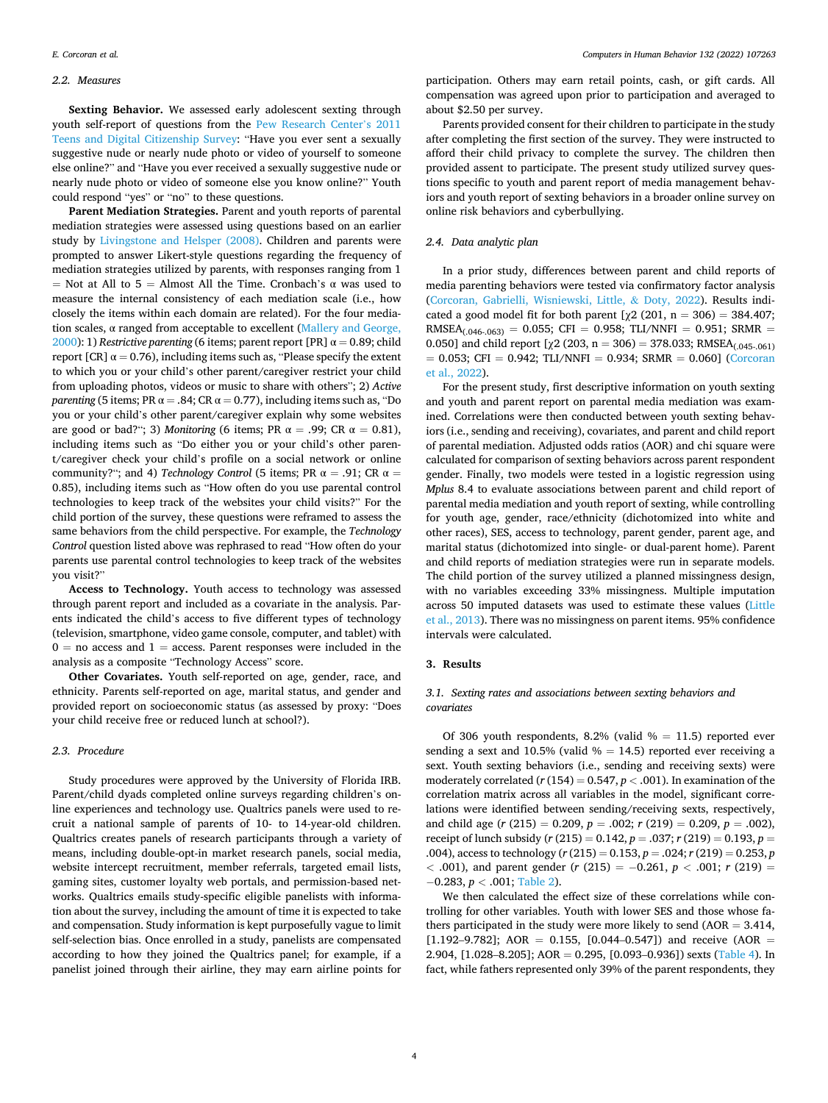#### *2.2. Measures*

**Sexting Behavior.** We assessed early adolescent sexting through youth self-report of questions from the [Pew Research Center](#page-8-0)'s 2011 [Teens and Digital Citizenship Survey:](#page-8-0) "Have you ever sent a sexually suggestive nude or nearly nude photo or video of yourself to someone else online?" and "Have you ever received a sexually suggestive nude or nearly nude photo or video of someone else you know online?" Youth could respond "yes" or "no" to these questions.

**Parent Mediation Strategies.** Parent and youth reports of parental mediation strategies were assessed using questions based on an earlier study by [Livingstone and Helsper \(2008\).](#page-8-0) Children and parents were prompted to answer Likert-style questions regarding the frequency of mediation strategies utilized by parents, with responses ranging from 1 = Not at All to 5 = Almost All the Time. Cronbach's  $\alpha$  was used to measure the internal consistency of each mediation scale (i.e., how closely the items within each domain are related). For the four mediation scales,  $\alpha$  ranged from acceptable to excellent (Mallery and George, [2000\)](#page-8-0): 1) *Restrictive parenting* (6 items; parent report [PR]  $\alpha = 0.89$ ; child report [CR]  $\alpha = 0.76$ ), including items such as, "Please specify the extent to which you or your child's other parent/caregiver restrict your child from uploading photos, videos or music to share with others"; 2) *Active parenting* (5 items; PR  $\alpha = .84$ ; CR  $\alpha = 0.77$ ), including items such as, "Do you or your child's other parent/caregiver explain why some websites are good or bad?"; 3) *Monitoring* (6 items; PR  $\alpha = .99$ ; CR  $\alpha = 0.81$ ), including items such as "Do either you or your child's other parent/caregiver check your child's profile on a social network or online community?"; and 4) *Technology Control* (5 items; PR  $\alpha = .91$ ; CR  $\alpha =$ 0.85), including items such as "How often do you use parental control technologies to keep track of the websites your child visits?" For the child portion of the survey, these questions were reframed to assess the same behaviors from the child perspective. For example, the *Technology Control* question listed above was rephrased to read "How often do your parents use parental control technologies to keep track of the websites you visit?"

**Access to Technology.** Youth access to technology was assessed through parent report and included as a covariate in the analysis. Parents indicated the child's access to five different types of technology (television, smartphone, video game console, computer, and tablet) with  $0 =$  no access and  $1 =$  access. Parent responses were included in the analysis as a composite "Technology Access" score.

**Other Covariates.** Youth self-reported on age, gender, race, and ethnicity. Parents self-reported on age, marital status, and gender and provided report on socioeconomic status (as assessed by proxy: "Does your child receive free or reduced lunch at school?).

## *2.3. Procedure*

Study procedures were approved by the University of Florida IRB. Parent/child dyads completed online surveys regarding children's online experiences and technology use. Qualtrics panels were used to recruit a national sample of parents of 10- to 14-year-old children. Qualtrics creates panels of research participants through a variety of means, including double-opt-in market research panels, social media, website intercept recruitment, member referrals, targeted email lists, gaming sites, customer loyalty web portals, and permission-based networks. Qualtrics emails study-specific eligible panelists with information about the survey, including the amount of time it is expected to take and compensation. Study information is kept purposefully vague to limit self-selection bias. Once enrolled in a study, panelists are compensated according to how they joined the Qualtrics panel; for example, if a panelist joined through their airline, they may earn airline points for

participation. Others may earn retail points, cash, or gift cards. All compensation was agreed upon prior to participation and averaged to about \$2.50 per survey.

Parents provided consent for their children to participate in the study after completing the first section of the survey. They were instructed to afford their child privacy to complete the survey. The children then provided assent to participate. The present study utilized survey questions specific to youth and parent report of media management behaviors and youth report of sexting behaviors in a broader online survey on online risk behaviors and cyberbullying.

# *2.4. Data analytic plan*

In a prior study, differences between parent and child reports of media parenting behaviors were tested via confirmatory factor analysis ([Corcoran, Gabrielli, Wisniewski, Little,](#page-7-0) & Doty, 2022). Results indicated a good model fit for both parent  $[\chi^2 (201, n = 306) = 384.407;$  $RMSEA_{(0.046-0.063)} = 0.055$ ; CFI = 0.958; TLI/NNFI = 0.951; SRMR = 0.050] and child report  $[\chi^2 (203, n = 306) = 378.033; RMSEA_{1,045-061})$  $= 0.053$ ; CFI = 0.942; TLI/NNFI = 0.934; SRMR = 0.060] (Corcoran [et al., 2022\)](#page-7-0).

For the present study, first descriptive information on youth sexting and youth and parent report on parental media mediation was examined. Correlations were then conducted between youth sexting behaviors (i.e., sending and receiving), covariates, and parent and child report of parental mediation. Adjusted odds ratios (AOR) and chi square were calculated for comparison of sexting behaviors across parent respondent gender. Finally, two models were tested in a logistic regression using *Mplus* 8.4 to evaluate associations between parent and child report of parental media mediation and youth report of sexting, while controlling for youth age, gender, race/ethnicity (dichotomized into white and other races), SES, access to technology, parent gender, parent age, and marital status (dichotomized into single- or dual-parent home). Parent and child reports of mediation strategies were run in separate models. The child portion of the survey utilized a planned missingness design, with no variables exceeding 33% missingness. Multiple imputation across 50 imputed datasets was used to estimate these values [\(Little](#page-8-0)  [et al., 2013\)](#page-8-0). There was no missingness on parent items. 95% confidence intervals were calculated.

# **3. Results**

# *3.1. Sexting rates and associations between sexting behaviors and covariates*

Of 306 youth respondents, 8.2% (valid  $% = 11.5$ ) reported ever sending a sext and 10.5% (valid  $% = 14.5$ ) reported ever receiving a sext. Youth sexting behaviors (i.e., sending and receiving sexts) were moderately correlated ( $r$  (154) = 0.547,  $p$  < .001). In examination of the correlation matrix across all variables in the model, significant correlations were identified between sending/receiving sexts, respectively, and child age (*r* (215) = 0.209, *p* = .002; *r* (219) = 0.209, *p* = .002), receipt of lunch subsidy (*r* (215) = 0.142, *p* = .037; *r* (219) = 0.193, *p* = .004), access to technology (*r* (215) = 0.153, *p* = .024; *r* (219) = 0.253, *p <* .001), and parent gender (*r* (215) = − 0.261, *p <* .001; *r* (219) = − 0.283, *p <* .001; [Table 2](#page-4-0)).

We then calculated the effect size of these correlations while controlling for other variables. Youth with lower SES and those whose fathers participated in the study were more likely to send  $(AOR = 3.414,$ [1.192–9.782]; AOR = 0.155, [0.044–0.547]) and receive (AOR = 2.904, [1.028–8.205];  $AOR = 0.295$ , [0.093–0.936]) sexts ([Table 4](#page-5-0)). In fact, while fathers represented only 39% of the parent respondents, they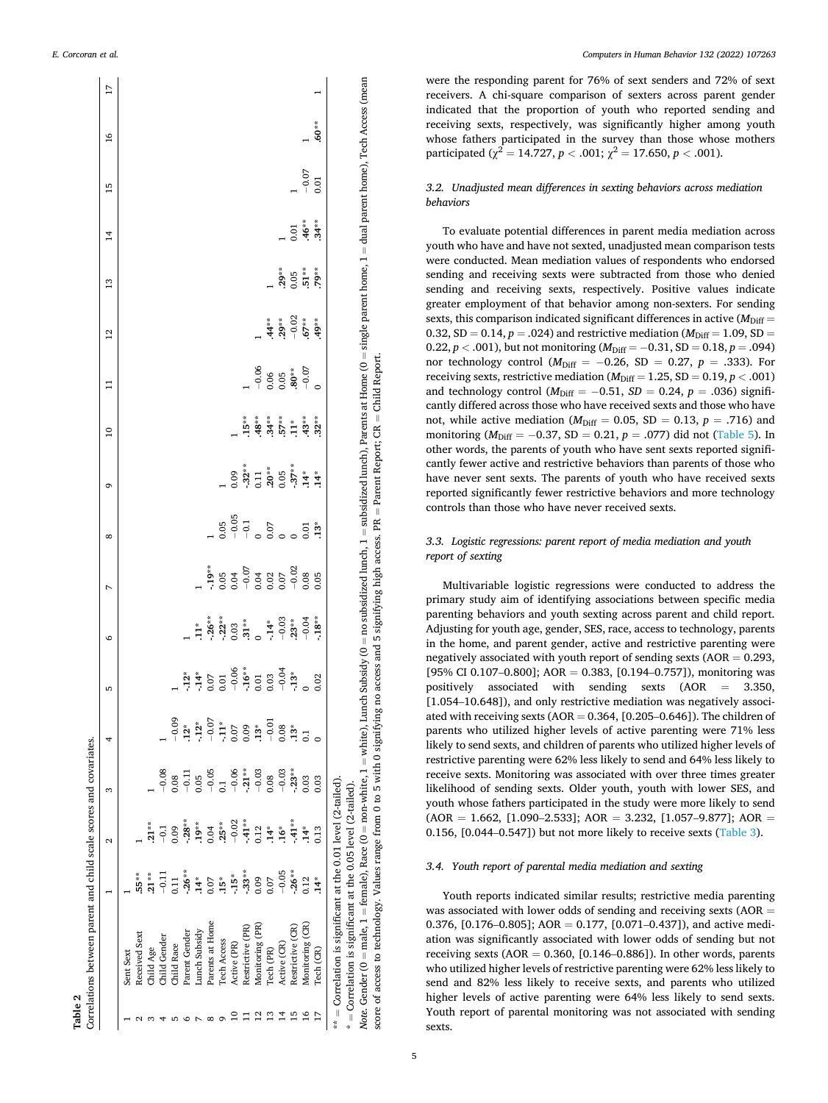**Table 2** 

<span id="page-4-0"></span>

|   | Correlations between parent and child scale scores and covariates.                                                                                                                                                        |                |               |                |                |                                                                                                                                                                                                                                                                                                                                                                                        |                   |                                         |               |                         |                 |         |                 |         |                |         |               |    |
|---|---------------------------------------------------------------------------------------------------------------------------------------------------------------------------------------------------------------------------|----------------|---------------|----------------|----------------|----------------------------------------------------------------------------------------------------------------------------------------------------------------------------------------------------------------------------------------------------------------------------------------------------------------------------------------------------------------------------------------|-------------------|-----------------------------------------|---------------|-------------------------|-----------------|---------|-----------------|---------|----------------|---------|---------------|----|
|   |                                                                                                                                                                                                                           |                | 2             | S              | 4              | ь                                                                                                                                                                                                                                                                                                                                                                                      | $\circ$           | N                                       | $\infty$      | G                       | $\overline{10}$ | Ξ       | $\overline{12}$ | 13      | $\overline{1}$ | 15      | $\frac{6}{2}$ | 17 |
|   | Sent Sext                                                                                                                                                                                                                 |                |               |                |                |                                                                                                                                                                                                                                                                                                                                                                                        |                   |                                         |               |                         |                 |         |                 |         |                |         |               |    |
|   | Received Sext                                                                                                                                                                                                             | $.55**$        |               |                |                |                                                                                                                                                                                                                                                                                                                                                                                        |                   |                                         |               |                         |                 |         |                 |         |                |         |               |    |
|   | Child Age                                                                                                                                                                                                                 | $.21**$        | $.21**$       |                |                |                                                                                                                                                                                                                                                                                                                                                                                        |                   |                                         |               |                         |                 |         |                 |         |                |         |               |    |
|   | Child Gender                                                                                                                                                                                                              | $-0.11$        | $-5$          | $-0.08$        |                |                                                                                                                                                                                                                                                                                                                                                                                        |                   |                                         |               |                         |                 |         |                 |         |                |         |               |    |
|   | Child Race                                                                                                                                                                                                                | 0.11           | 0.09          | 0.08           | $-0.09$        |                                                                                                                                                                                                                                                                                                                                                                                        |                   |                                         |               |                         |                 |         |                 |         |                |         |               |    |
|   | Parent Gender                                                                                                                                                                                                             | $-26**$        | $-28**$       | $-0.11$        | $12*$          |                                                                                                                                                                                                                                                                                                                                                                                        |                   |                                         |               |                         |                 |         |                 |         |                |         |               |    |
|   | Lunch Subsidy                                                                                                                                                                                                             | $14*$          | $.19***$      | 0.05           | $-12*$         | $\frac{1}{2}$<br>$\frac{1}{4}$<br>$\frac{1}{4}$<br>$\frac{1}{4}$<br>$\frac{1}{5}$<br>$\frac{1}{5}$<br>$\frac{1}{5}$<br>$\frac{1}{5}$<br>$\frac{1}{5}$<br>$\frac{1}{5}$<br>$\frac{1}{5}$<br>$\frac{1}{5}$<br>$\frac{1}{5}$<br>$\frac{1}{5}$<br>$\frac{1}{5}$<br>$\frac{1}{5}$<br>$\frac{1}{5}$<br>$\frac{1}{5}$<br>$\frac{1}{5}$<br>$\frac{1}{5}$<br>$\frac{1}{5}$<br>$\frac{1}{5}$<br> | $\ddot{1}$        |                                         |               |                         |                 |         |                 |         |                |         |               |    |
|   | Parents at Home                                                                                                                                                                                                           | 0.07           | 0.04          | $-0.05$        | $-0.07$        |                                                                                                                                                                                                                                                                                                                                                                                        | $-26**$           | $-19**$                                 |               |                         |                 |         |                 |         |                |         |               |    |
|   | <b>Tech Access</b>                                                                                                                                                                                                        | $.15*$         | $.25***$      | $\overline{5}$ | $-11*$         |                                                                                                                                                                                                                                                                                                                                                                                        | $-22**$           | 0.05                                    | 0.05          |                         |                 |         |                 |         |                |         |               |    |
|   | Active (PR)                                                                                                                                                                                                               | $-15*$         | $-0.02$       | $-0.06$        | 0.07           |                                                                                                                                                                                                                                                                                                                                                                                        |                   |                                         | $-0.05$       | 0.09                    |                 |         |                 |         |                |         |               |    |
|   | Restrictive (PR)                                                                                                                                                                                                          | $-33**$        | $-41**$       | $-21**$        | 0.09           |                                                                                                                                                                                                                                                                                                                                                                                        | $0.03$<br>$.31**$ | $0.07$<br>$-0.07$<br>$-0.02$<br>$-0.07$ | $-0.1$        | $.32**$<br>0.11<br>2.0* | $15**$          |         |                 |         |                |         |               |    |
|   | Monitoring (PR)                                                                                                                                                                                                           | 0.09           | 0.12          | $-0.03$        | $.13*$         |                                                                                                                                                                                                                                                                                                                                                                                        | $\circ$           |                                         |               |                         | $-48**$         | $-0.06$ |                 |         |                |         |               |    |
|   | rech (PR)                                                                                                                                                                                                                 | 0.07           | $\ddot{1}4^*$ | 0.08           | $-0.01$        |                                                                                                                                                                                                                                                                                                                                                                                        | $-14*$            |                                         | 0.07          |                         | $34**$          | 0.06    | $.44**$         |         |                |         |               |    |
|   | Active (CR)                                                                                                                                                                                                               | $-0.05$        | $.16*$        | $-0.03$        | 0.08           |                                                                                                                                                                                                                                                                                                                                                                                        | $-0.03$           |                                         |               |                         | $.57**$         | 0.05    | $.29**$         | $.29**$ |                |         |               |    |
|   | Restrictive (CR)                                                                                                                                                                                                          | $-26**$        | $-41**$       | $-.23**$       | $13*$          |                                                                                                                                                                                                                                                                                                                                                                                        | $.23**$           | $-0.02$                                 |               | $-37**$                 | $\frac{1}{11}$  | $.80**$ | $-0.02$         | 0.05    | 0.01           |         |               |    |
| 윽 | Monitoring (CR)                                                                                                                                                                                                           | 0.12           | $.14*$        | 0.03           | $\overline{0}$ |                                                                                                                                                                                                                                                                                                                                                                                        | $-0.04$           | 0.08                                    | 0.01          | $14*$                   | $.43**$         | $-0.07$ | $67**$          | $-51**$ | $.46**$        | $-0.07$ |               |    |
|   | Tech (CR)                                                                                                                                                                                                                 | $\frac{4}{14}$ | 0.13          | 0.03           |                | 0.02                                                                                                                                                                                                                                                                                                                                                                                   | $-18**$           | 0.05                                    | $\frac{3}{2}$ | $\frac{4}{14}$          | $32**$          |         | $.49**$         | 79**    | $34***$        | 0.01    | $.60**$       |    |
|   | $** =$ Correlation is significant at the 0.01 level (2-tailed).                                                                                                                                                           |                |               |                |                |                                                                                                                                                                                                                                                                                                                                                                                        |                   |                                         |               |                         |                 |         |                 |         |                |         |               |    |
|   | $*$ = Correlation is significant at the 0.05 level (2-tailed).                                                                                                                                                            |                |               |                |                |                                                                                                                                                                                                                                                                                                                                                                                        |                   |                                         |               |                         |                 |         |                 |         |                |         |               |    |
|   | Note. Gender (0 = male, 1 = female), Race (0 = non-white, 1 = white), Lunch Subsidix y (0 = no subsidized lunch, 1 = subsidized lunch), Parents at Home (0 = single parent home, 1 = dual parent home), Tech Access (mean |                |               |                |                |                                                                                                                                                                                                                                                                                                                                                                                        |                   |                                         |               |                         |                 |         |                 |         |                |         |               |    |
|   | score of access to technology. Values range from 0 to 5 with 0 signifying no access and 5 signifying high access. PR = Parent Report; CR = Child Report.                                                                  |                |               |                |                |                                                                                                                                                                                                                                                                                                                                                                                        |                   |                                         |               |                         |                 |         |                 |         |                |         |               |    |

were the responding parent for 76% of sext senders and 72% of sext receivers. A chi-square comparison of sexters across parent gender indicated that the proportion of youth who reported sending and receiving sexts, respectively, was significantly higher among youth whose fathers participated in the survey than those whose mothers participated ( $\chi^2 = 14.727$ ,  $p < .001$ ;  $\chi^2 = 17.650$ ,  $p < .001$ ).

# *3.2. Unadjusted mean differences in sexting behaviors across mediation behaviors*

To evaluate potential differences in parent media mediation across youth who have and have not sexted, unadjusted mean comparison tests were conducted. Mean mediation values of respondents who endorsed sending and receiving sexts were subtracted from those who denied sending and receiving sexts, respectively. Positive values indicate greater employment of that behavior among non-sexters. For sending sexts, this comparison indicated significant differences in active  $(M<sub>Diff</sub> =$ 0.32,  $SD = 0.14$ ,  $p = .024$ ) and restrictive mediation ( $M_{Diff} = 1.09$ ,  $SD =$ 0.22,  $p < .001$ ), but not monitoring ( $M_{\text{Diff}} = -0.31$ , SD = 0.18,  $p = .094$ ) nor technology control ( $M_{\text{Diff}} = -0.26$ , SD = 0.27, *p* = .333). For receiving sexts, restrictive mediation ( $M_{\text{Diff}} = 1.25$ , SD = 0.19,  $p < .001$ ) and technology control ( $M<sub>Diff</sub> = -0.51$ ,  $SD = 0.24$ ,  $p = .036$ ) significantly differed across those who have received sexts and those who have not, while active mediation ( $M<sub>Diff</sub> = 0.05$ , SD = 0.13, p = .716) and monitoring ( $M_{\text{Diff}} = -0.37$ , SD = 0.21,  $p = .077$ ) did not [\(Table 5\)](#page-5-0). In other words, the parents of youth who have sent sexts reported significantly fewer active and restrictive behaviors than parents of those who have never sent sexts. The parents of youth who have received sexts reported significantly fewer restrictive behaviors and more technology controls than those who have never received sexts.

# *3.3. Logistic regressions: parent report of media mediation and youth report of sexting*

Multivariable logistic regressions were conducted to address the primary study aim of identifying associations between specific media parenting behaviors and youth sexting across parent and child report. Adjusting for youth age, gender, SES, race, access to technology, parents in the home, and parent gender, active and restrictive parenting were negatively associated with youth report of sending sexts ( $AOR = 0.293$ , [95% CI 0.107-0.800];  $AOR = 0.383$ , [0.194-0.757]), monitoring was positively associated with sending sexts (AOR = 3.350, [1.054–10.648]), and only restrictive mediation was negatively associated with receiving sexts (AOR  $= 0.364$ , [0.205–0.646]). The children of parents who utilized higher levels of active parenting were 71% less likely to send sexts, and children of parents who utilized higher levels of restrictive parenting were 62% less likely to send and 64% less likely to receive sexts. Monitoring was associated with over three times greater likelihood of sending sexts. Older youth, youth with lower SES, and youth whose fathers participated in the study were more likely to send  $(AOR = 1.662, [1.090-2.533]; AOR = 3.232, [1.057-9.877]; AOR =$ 0.156, [0.044–0.547]) but not more likely to receive sexts ([Table 3](#page-5-0)).

# *3.4. Youth report of parental media mediation and sexting*

Youth reports indicated similar results; restrictive media parenting was associated with lower odds of sending and receiving sexts ( $AOR =$ 0.376, [0.176–0.805];  $AOR = 0.177$ , [0.071–0.437]), and active mediation was significantly associated with lower odds of sending but not receiving sexts ( $AOR = 0.360$ , [0.146–0.886]). In other words, parents who utilized higher levels of restrictive parenting were 62% less likely to send and 82% less likely to receive sexts, and parents who utilized higher levels of active parenting were 64% less likely to send sexts. Youth report of parental monitoring was not associated with sending sexts.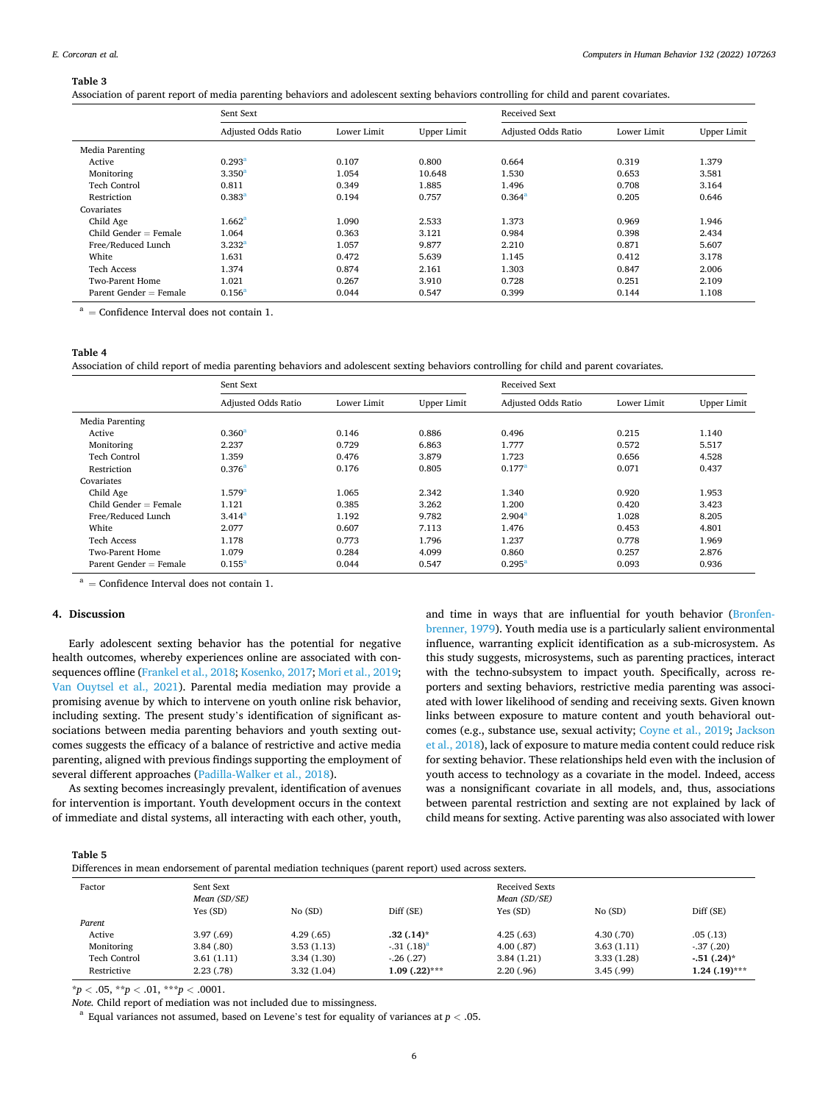#### <span id="page-5-0"></span>**Table 3**

Association of parent report of media parenting behaviors and adolescent sexting behaviors controlling for child and parent covariates.

|                          | Sent Sext           |             |                    | <b>Received Sext</b> |             |                    |
|--------------------------|---------------------|-------------|--------------------|----------------------|-------------|--------------------|
|                          | Adjusted Odds Ratio | Lower Limit | <b>Upper Limit</b> | Adjusted Odds Ratio  | Lower Limit | <b>Upper Limit</b> |
| Media Parenting          |                     |             |                    |                      |             |                    |
| Active                   | $0.293^{\rm a}$     | 0.107       | 0.800              | 0.664                | 0.319       | 1.379              |
| Monitoring               | 3.350 <sup>a</sup>  | 1.054       | 10.648             | 1.530                | 0.653       | 3.581              |
| <b>Tech Control</b>      | 0.811               | 0.349       | 1.885              | 1.496                | 0.708       | 3.164              |
| Restriction              | $0.383^{a}$         | 0.194       | 0.757              | 0.364 <sup>a</sup>   | 0.205       | 0.646              |
| Covariates               |                     |             |                    |                      |             |                    |
| Child Age                | 1.662 <sup>a</sup>  | 1.090       | 2.533              | 1.373                | 0.969       | 1.946              |
| Child Gender $=$ Female  | 1.064               | 0.363       | 3.121              | 0.984                | 0.398       | 2.434              |
| Free/Reduced Lunch       | 3.232 <sup>a</sup>  | 1.057       | 9.877              | 2.210                | 0.871       | 5.607              |
| White                    | 1.631               | 0.472       | 5.639              | 1.145                | 0.412       | 3.178              |
| <b>Tech Access</b>       | 1.374               | 0.874       | 2.161              | 1.303                | 0.847       | 2.006              |
| Two-Parent Home          | 1.021               | 0.267       | 3.910              | 0.728                | 0.251       | 2.109              |
| Parent Gender $=$ Female | $0.156^{a}$         | 0.044       | 0.547              | 0.399                | 0.144       | 1.108              |

 $a =$  Confidence Interval does not contain 1.

#### **Table 4**

Association of child report of media parenting behaviors and adolescent sexting behaviors controlling for child and parent covariates.

|                          | Sent Sext           |             |                    | <b>Received Sext</b> |             |                    |
|--------------------------|---------------------|-------------|--------------------|----------------------|-------------|--------------------|
|                          | Adjusted Odds Ratio | Lower Limit | <b>Upper Limit</b> | Adjusted Odds Ratio  | Lower Limit | <b>Upper Limit</b> |
| Media Parenting          |                     |             |                    |                      |             |                    |
| Active                   | 0.360 <sup>a</sup>  | 0.146       | 0.886              | 0.496                | 0.215       | 1.140              |
| Monitoring               | 2.237               | 0.729       | 6.863              | 1.777                | 0.572       | 5.517              |
| <b>Tech Control</b>      | 1.359               | 0.476       | 3.879              | 1.723                | 0.656       | 4.528              |
| Restriction              | 0.376 <sup>a</sup>  | 0.176       | 0.805              | $0.177$ <sup>a</sup> | 0.071       | 0.437              |
| Covariates               |                     |             |                    |                      |             |                    |
| Child Age                | 1.579 <sup>a</sup>  | 1.065       | 2.342              | 1.340                | 0.920       | 1.953              |
| Child Gender $=$ Female  | 1.121               | 0.385       | 3.262              | 1.200                | 0.420       | 3.423              |
| Free/Reduced Lunch       | 3.414 <sup>a</sup>  | 1.192       | 9.782              | 2.904 <sup>a</sup>   | 1.028       | 8.205              |
| White                    | 2.077               | 0.607       | 7.113              | 1.476                | 0.453       | 4.801              |
| <b>Tech Access</b>       | 1.178               | 0.773       | 1.796              | 1.237                | 0.778       | 1.969              |
| <b>Two-Parent Home</b>   | 1.079               | 0.284       | 4.099              | 0.860                | 0.257       | 2.876              |
| Parent Gender $=$ Female | $0.155^{a}$         | 0.044       | 0.547              | $0.295^{\rm a}$      | 0.093       | 0.936              |

 $a =$  Confidence Interval does not contain 1.

# **4. Discussion**

Early adolescent sexting behavior has the potential for negative health outcomes, whereby experiences online are associated with consequences offline [\(Frankel et al., 2018](#page-7-0); [Kosenko, 2017; Mori et al., 2019](#page-8-0); [Van Ouytsel et al., 2021\)](#page-8-0). Parental media mediation may provide a promising avenue by which to intervene on youth online risk behavior, including sexting. The present study's identification of significant associations between media parenting behaviors and youth sexting outcomes suggests the efficacy of a balance of restrictive and active media parenting, aligned with previous findings supporting the employment of several different approaches ([Padilla-Walker et al., 2018](#page-8-0)).

As sexting becomes increasingly prevalent, identification of avenues for intervention is important. Youth development occurs in the context of immediate and distal systems, all interacting with each other, youth,

and time in ways that are influential for youth behavior [\(Bronfen](#page-7-0)[brenner, 1979](#page-7-0)). Youth media use is a particularly salient environmental influence, warranting explicit identification as a sub-microsystem. As this study suggests, microsystems, such as parenting practices, interact with the techno-subsystem to impact youth. Specifically, across reporters and sexting behaviors, restrictive media parenting was associated with lower likelihood of sending and receiving sexts. Given known links between exposure to mature content and youth behavioral outcomes (e.g., substance use, sexual activity; [Coyne et al., 2019](#page-7-0); [Jackson](#page-8-0)  [et al., 2018\)](#page-8-0), lack of exposure to mature media content could reduce risk for sexting behavior. These relationships held even with the inclusion of youth access to technology as a covariate in the model. Indeed, access was a nonsignificant covariate in all models, and, thus, associations between parental restriction and sexting are not explained by lack of child means for sexting. Active parenting was also associated with lower

**Table 5** 

Differences in mean endorsement of parental mediation techniques (parent report) used across sexters.

|                     |                           |            | $\mathbf{L}$      |                                       |            |                 |
|---------------------|---------------------------|------------|-------------------|---------------------------------------|------------|-----------------|
| Factor              | Sent Sext<br>Mean (SD/SE) |            |                   | <b>Received Sexts</b><br>Mean (SD/SE) |            |                 |
|                     | Yes (SD)                  | No(SD)     | Diff (SE)         | Yes (SD)                              | No(SD)     | Diff (SE)       |
| Parent              |                           |            |                   |                                       |            |                 |
| Active              | 3.97(0.69)                | 4.29(65)   | $.32(.14)$ *      | 4.25(.63)                             | 4.30(0.70) | .05(0.13)       |
| Monitoring          | 3.84(.80)                 | 3.53(1.13) | $-31$ $(.18)^a$   | 4.00(.87)                             | 3.63(1.11) | $-37(0.20)$     |
| <b>Tech Control</b> | 3.61(1.11)                | 3.34(1.30) | $-26(0.27)$       | 3.84(1.21)                            | 3.33(1.28) | $-.51(.24)$ *   |
| Restrictive         | 2.23(0.78)                | 3.32(1.04) | $1.09$ $(.22)***$ | 2,20(.96)                             | 3.45(.99)  | $1.24$ (.19)*** |

 $**p* < .05, ***p* < .01, ***p* < .0001.$ 

*Note.* Child report of mediation was not included due to missingness.<br><sup>a</sup> Equal variances not assumed, based on Levene's test for equality of variances at *p* < .05.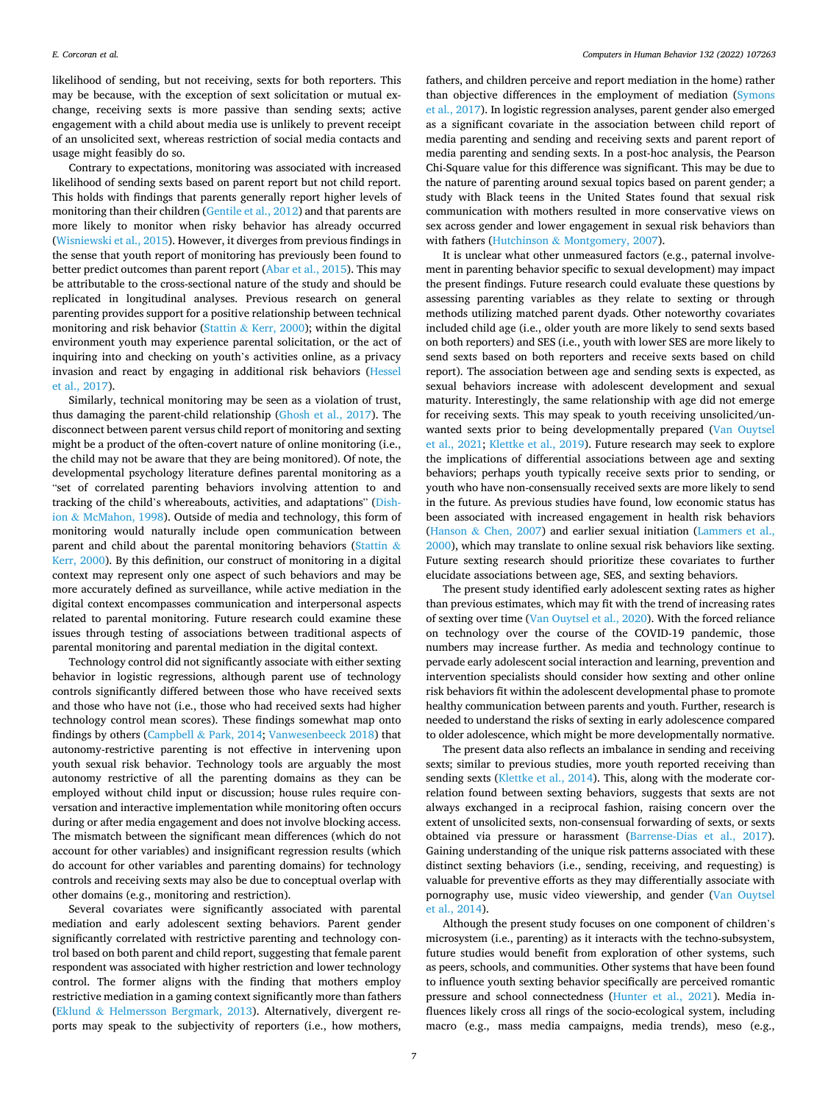likelihood of sending, but not receiving, sexts for both reporters. This may be because, with the exception of sext solicitation or mutual exchange, receiving sexts is more passive than sending sexts; active engagement with a child about media use is unlikely to prevent receipt of an unsolicited sext, whereas restriction of social media contacts and usage might feasibly do so.

Contrary to expectations, monitoring was associated with increased likelihood of sending sexts based on parent report but not child report. This holds with findings that parents generally report higher levels of monitoring than their children ([Gentile et al., 2012\)](#page-7-0) and that parents are more likely to monitor when risky behavior has already occurred ([Wisniewski et al., 2015](#page-8-0)). However, it diverges from previous findings in the sense that youth report of monitoring has previously been found to better predict outcomes than parent report [\(Abar et al., 2015\)](#page-7-0). This may be attributable to the cross-sectional nature of the study and should be replicated in longitudinal analyses. Previous research on general parenting provides support for a positive relationship between technical monitoring and risk behavior (Stattin & [Kerr, 2000](#page-8-0)); within the digital environment youth may experience parental solicitation, or the act of inquiring into and checking on youth's activities online, as a privacy invasion and react by engaging in additional risk behaviors [\(Hessel](#page-8-0)  [et al., 2017\)](#page-8-0).

Similarly, technical monitoring may be seen as a violation of trust, thus damaging the parent-child relationship ([Ghosh et al., 2017](#page-8-0)). The disconnect between parent versus child report of monitoring and sexting might be a product of the often-covert nature of online monitoring (i.e., the child may not be aware that they are being monitored). Of note, the developmental psychology literature defines parental monitoring as a "set of correlated parenting behaviors involving attention to and tracking of the child's whereabouts, activities, and adaptations" [\(Dish](#page-7-0)ion & [McMahon, 1998\)](#page-7-0). Outside of media and technology, this form of monitoring would naturally include open communication between parent and child about the parental monitoring behaviors ([Stattin](#page-8-0) & [Kerr, 2000\)](#page-8-0). By this definition, our construct of monitoring in a digital context may represent only one aspect of such behaviors and may be more accurately defined as surveillance, while active mediation in the digital context encompasses communication and interpersonal aspects related to parental monitoring. Future research could examine these issues through testing of associations between traditional aspects of parental monitoring and parental mediation in the digital context.

Technology control did not significantly associate with either sexting behavior in logistic regressions, although parent use of technology controls significantly differed between those who have received sexts and those who have not (i.e., those who had received sexts had higher technology control mean scores). These findings somewhat map onto findings by others (Campbell & [Park, 2014;](#page-7-0) [Vanwesenbeeck 2018](#page-8-0)) that autonomy-restrictive parenting is not effective in intervening upon youth sexual risk behavior. Technology tools are arguably the most autonomy restrictive of all the parenting domains as they can be employed without child input or discussion; house rules require conversation and interactive implementation while monitoring often occurs during or after media engagement and does not involve blocking access. The mismatch between the significant mean differences (which do not account for other variables) and insignificant regression results (which do account for other variables and parenting domains) for technology controls and receiving sexts may also be due to conceptual overlap with other domains (e.g., monitoring and restriction).

Several covariates were significantly associated with parental mediation and early adolescent sexting behaviors. Parent gender significantly correlated with restrictive parenting and technology control based on both parent and child report, suggesting that female parent respondent was associated with higher restriction and lower technology control. The former aligns with the finding that mothers employ restrictive mediation in a gaming context significantly more than fathers (Eklund & [Helmersson Bergmark, 2013\)](#page-7-0). Alternatively, divergent reports may speak to the subjectivity of reporters (i.e., how mothers,

fathers, and children perceive and report mediation in the home) rather than objective differences in the employment of mediation [\(Symons](#page-8-0)  [et al., 2017\)](#page-8-0). In logistic regression analyses, parent gender also emerged as a significant covariate in the association between child report of media parenting and sending and receiving sexts and parent report of media parenting and sending sexts. In a post-hoc analysis, the Pearson Chi-Square value for this difference was significant. This may be due to the nature of parenting around sexual topics based on parent gender; a study with Black teens in the United States found that sexual risk communication with mothers resulted in more conservative views on sex across gender and lower engagement in sexual risk behaviors than with fathers (Hutchinson & [Montgomery, 2007](#page-8-0)).

It is unclear what other unmeasured factors (e.g., paternal involvement in parenting behavior specific to sexual development) may impact the present findings. Future research could evaluate these questions by assessing parenting variables as they relate to sexting or through methods utilizing matched parent dyads. Other noteworthy covariates included child age (i.e., older youth are more likely to send sexts based on both reporters) and SES (i.e., youth with lower SES are more likely to send sexts based on both reporters and receive sexts based on child report). The association between age and sending sexts is expected, as sexual behaviors increase with adolescent development and sexual maturity. Interestingly, the same relationship with age did not emerge for receiving sexts. This may speak to youth receiving unsolicited/unwanted sexts prior to being developmentally prepared [\(Van Ouytsel](#page-8-0)  [et al., 2021](#page-8-0); [Klettke et al., 2019](#page-8-0)). Future research may seek to explore the implications of differential associations between age and sexting behaviors; perhaps youth typically receive sexts prior to sending, or youth who have non-consensually received sexts are more likely to send in the future. As previous studies have found, low economic status has been associated with increased engagement in health risk behaviors (Hanson & [Chen, 2007\)](#page-8-0) and earlier sexual initiation ([Lammers et al.,](#page-8-0)  [2000\)](#page-8-0), which may translate to online sexual risk behaviors like sexting. Future sexting research should prioritize these covariates to further elucidate associations between age, SES, and sexting behaviors.

The present study identified early adolescent sexting rates as higher than previous estimates, which may fit with the trend of increasing rates of sexting over time [\(Van Ouytsel et al., 2020\)](#page-8-0). With the forced reliance on technology over the course of the COVID-19 pandemic, those numbers may increase further. As media and technology continue to pervade early adolescent social interaction and learning, prevention and intervention specialists should consider how sexting and other online risk behaviors fit within the adolescent developmental phase to promote healthy communication between parents and youth. Further, research is needed to understand the risks of sexting in early adolescence compared to older adolescence, which might be more developmentally normative.

The present data also reflects an imbalance in sending and receiving sexts; similar to previous studies, more youth reported receiving than sending sexts ([Klettke et al., 2014\)](#page-8-0). This, along with the moderate correlation found between sexting behaviors, suggests that sexts are not always exchanged in a reciprocal fashion, raising concern over the extent of unsolicited sexts, non-consensual forwarding of sexts, or sexts obtained via pressure or harassment [\(Barrense-Dias et al., 2017](#page-7-0)). Gaining understanding of the unique risk patterns associated with these distinct sexting behaviors (i.e., sending, receiving, and requesting) is valuable for preventive efforts as they may differentially associate with pornography use, music video viewership, and gender [\(Van Ouytsel](#page-8-0)  [et al., 2014\)](#page-8-0).

Although the present study focuses on one component of children's microsystem (i.e., parenting) as it interacts with the techno-subsystem, future studies would benefit from exploration of other systems, such as peers, schools, and communities. Other systems that have been found to influence youth sexting behavior specifically are perceived romantic pressure and school connectedness [\(Hunter et al., 2021](#page-8-0)). Media influences likely cross all rings of the socio-ecological system, including macro (e.g., mass media campaigns, media trends), meso (e.g.,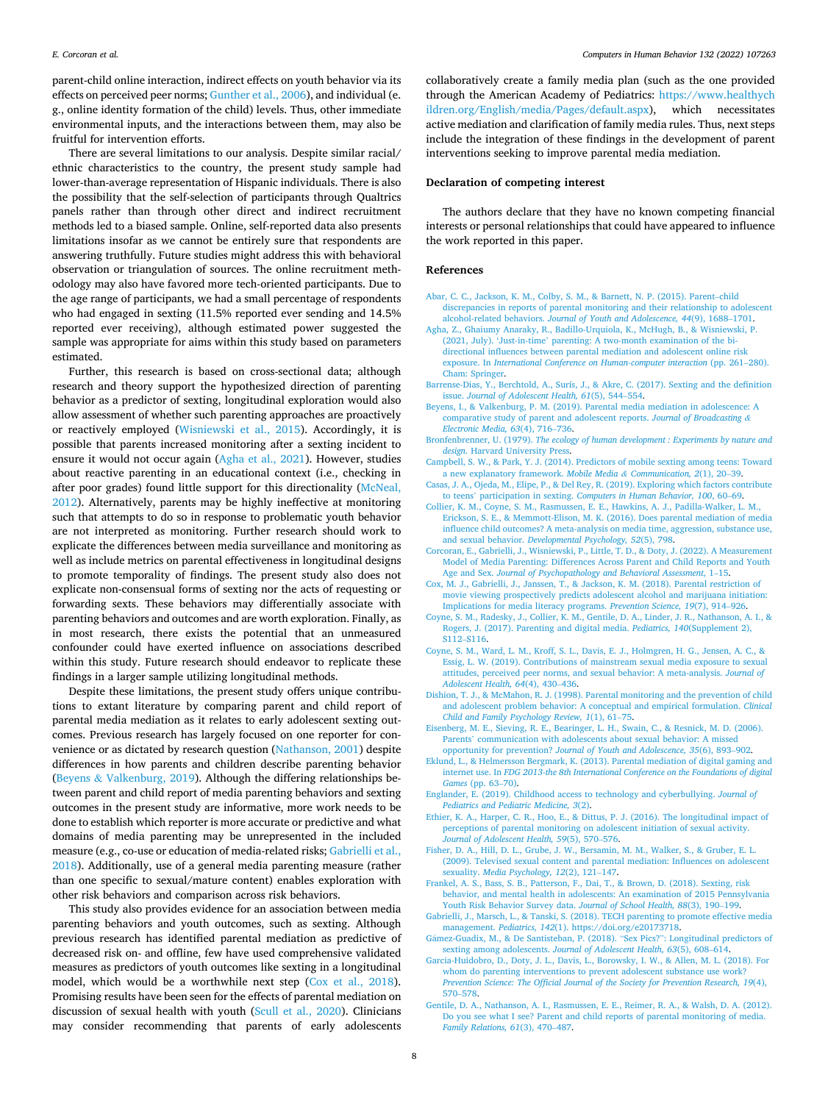<span id="page-7-0"></span>parent-child online interaction, indirect effects on youth behavior via its effects on perceived peer norms; [Gunther et al., 2006](#page-8-0)), and individual (e. g., online identity formation of the child) levels. Thus, other immediate environmental inputs, and the interactions between them, may also be fruitful for intervention efforts.

There are several limitations to our analysis. Despite similar racial/ ethnic characteristics to the country, the present study sample had lower-than-average representation of Hispanic individuals. There is also the possibility that the self-selection of participants through Qualtrics panels rather than through other direct and indirect recruitment methods led to a biased sample. Online, self-reported data also presents limitations insofar as we cannot be entirely sure that respondents are answering truthfully. Future studies might address this with behavioral observation or triangulation of sources. The online recruitment methodology may also have favored more tech-oriented participants. Due to the age range of participants, we had a small percentage of respondents who had engaged in sexting (11.5% reported ever sending and 14.5% reported ever receiving), although estimated power suggested the sample was appropriate for aims within this study based on parameters estimated.

Further, this research is based on cross-sectional data; although research and theory support the hypothesized direction of parenting behavior as a predictor of sexting, longitudinal exploration would also allow assessment of whether such parenting approaches are proactively or reactively employed ([Wisniewski et al., 2015](#page-8-0)). Accordingly, it is possible that parents increased monitoring after a sexting incident to ensure it would not occur again (Agha et al., 2021). However, studies about reactive parenting in an educational context (i.e., checking in after poor grades) found little support for this directionality ([McNeal,](#page-8-0)  [2012\)](#page-8-0). Alternatively, parents may be highly ineffective at monitoring such that attempts to do so in response to problematic youth behavior are not interpreted as monitoring. Further research should work to explicate the differences between media surveillance and monitoring as well as include metrics on parental effectiveness in longitudinal designs to promote temporality of findings. The present study also does not explicate non-consensual forms of sexting nor the acts of requesting or forwarding sexts. These behaviors may differentially associate with parenting behaviors and outcomes and are worth exploration. Finally, as in most research, there exists the potential that an unmeasured confounder could have exerted influence on associations described within this study. Future research should endeavor to replicate these findings in a larger sample utilizing longitudinal methods.

Despite these limitations, the present study offers unique contributions to extant literature by comparing parent and child report of parental media mediation as it relates to early adolescent sexting outcomes. Previous research has largely focused on one reporter for convenience or as dictated by research question [\(Nathanson, 2001](#page-8-0)) despite differences in how parents and children describe parenting behavior (Beyens & Valkenburg, 2019). Although the differing relationships between parent and child report of media parenting behaviors and sexting outcomes in the present study are informative, more work needs to be done to establish which reporter is more accurate or predictive and what domains of media parenting may be unrepresented in the included measure (e.g., co-use or education of media-related risks; Gabrielli et al., 2018). Additionally, use of a general media parenting measure (rather than one specific to sexual/mature content) enables exploration with other risk behaviors and comparison across risk behaviors.

This study also provides evidence for an association between media parenting behaviors and youth outcomes, such as sexting. Although previous research has identified parental mediation as predictive of decreased risk on- and offline, few have used comprehensive validated measures as predictors of youth outcomes like sexting in a longitudinal model, which would be a worthwhile next step (Cox et al., 2018). Promising results have been seen for the effects of parental mediation on discussion of sexual health with youth [\(Scull et al., 2020\)](#page-8-0). Clinicians may consider recommending that parents of early adolescents

collaboratively create a family media plan (such as the one provided through the American Academy of Pediatrics: [https://www.healthych](https://www.healthychildren.org/English/media/Pages/default.aspx)  [ildren.org/English/media/Pages/default.aspx](https://www.healthychildren.org/English/media/Pages/default.aspx)), which necessitates active mediation and clarification of family media rules. Thus, next steps include the integration of these findings in the development of parent interventions seeking to improve parental media mediation.

#### **Declaration of competing interest**

The authors declare that they have no known competing financial interests or personal relationships that could have appeared to influence the work reported in this paper.

#### **References**

- [Abar, C. C., Jackson, K. M., Colby, S. M., & Barnett, N. P. \(2015\). Parent](http://refhub.elsevier.com/S0747-5632(22)00085-1/sref1)–child [discrepancies in reports of parental monitoring and their relationship to adolescent](http://refhub.elsevier.com/S0747-5632(22)00085-1/sref1)  alcohol-related behaviors. *[Journal of Youth and Adolescence, 44](http://refhub.elsevier.com/S0747-5632(22)00085-1/sref1)*(9), 1688–1701.
- [Agha, Z., Ghaiumy Anaraky, R., Badillo-Urquiola, K., McHugh, B., & Wisniewski, P.](http://refhub.elsevier.com/S0747-5632(22)00085-1/sref2) (2021, July). 'Just-in-time' [parenting: A two-month examination of the bi](http://refhub.elsevier.com/S0747-5632(22)00085-1/sref2)[directional influences between parental mediation and adolescent online risk](http://refhub.elsevier.com/S0747-5632(22)00085-1/sref2) exposure. In *International Conference on Human-computer interaction* (pp. 261-280). [Cham: Springer.](http://refhub.elsevier.com/S0747-5632(22)00085-1/sref2)
- [Barrense-Dias, Y., Berchtold, A., Surís, J., & Akre, C. \(2017\). Sexting and the definition](http://refhub.elsevier.com/S0747-5632(22)00085-1/sref3) issue. *[Journal of Adolescent Health, 61](http://refhub.elsevier.com/S0747-5632(22)00085-1/sref3)*(5), 544–554.
- [Beyens, I., & Valkenburg, P. M. \(2019\). Parental media mediation in adolescence: A](http://refhub.elsevier.com/S0747-5632(22)00085-1/sref4) [comparative study of parent and adolescent reports.](http://refhub.elsevier.com/S0747-5632(22)00085-1/sref4) *Journal of Broadcasting & [Electronic Media, 63](http://refhub.elsevier.com/S0747-5632(22)00085-1/sref4)*(4), 716–736.
- Bronfenbrenner, U. (1979). *[The ecology of human development : Experiments by nature and](http://refhub.elsevier.com/S0747-5632(22)00085-1/sref5)  design*[. Harvard University Press.](http://refhub.elsevier.com/S0747-5632(22)00085-1/sref5)
- [Campbell, S. W., & Park, Y. J. \(2014\). Predictors of mobile sexting among teens: Toward](http://refhub.elsevier.com/S0747-5632(22)00085-1/sref6)  [a new explanatory framework.](http://refhub.elsevier.com/S0747-5632(22)00085-1/sref6) *Mobile Media & Communication, 2*(1), 20–39.
- [Casas, J. A., Ojeda, M., Elipe, P., & Del Rey, R. \(2019\). Exploring which factors contribute](http://refhub.elsevier.com/S0747-5632(22)00085-1/sref7)  to teens' participation in sexting. *[Computers in Human Behavior, 100](http://refhub.elsevier.com/S0747-5632(22)00085-1/sref7)*, 60–69.
- [Collier, K. M., Coyne, S. M., Rasmussen, E. E., Hawkins, A. J., Padilla-Walker, L. M.,](http://refhub.elsevier.com/S0747-5632(22)00085-1/sref8)  [Erickson, S. E., & Memmott-Elison, M. K. \(2016\). Does parental mediation of media](http://refhub.elsevier.com/S0747-5632(22)00085-1/sref8)  [influence child outcomes? A meta-analysis on media time, aggression, substance use,](http://refhub.elsevier.com/S0747-5632(22)00085-1/sref8)  and sexual behavior. *[Developmental Psychology, 52](http://refhub.elsevier.com/S0747-5632(22)00085-1/sref8)*(5), 798.
- [Corcoran, E., Gabrielli, J., Wisniewski, P., Little, T. D., & Doty, J. \(2022\). A Measurement](http://refhub.elsevier.com/S0747-5632(22)00085-1/sref9)  [Model of Media Parenting: Differences Across Parent and Child Reports and Youth](http://refhub.elsevier.com/S0747-5632(22)00085-1/sref9) Age and Sex. *[Journal of Psychopathology and Behavioral Assessment](http://refhub.elsevier.com/S0747-5632(22)00085-1/sref9)*, 1–15.
- [Cox, M. J., Gabrielli, J., Janssen, T., & Jackson, K. M. \(2018\). Parental restriction of](http://refhub.elsevier.com/S0747-5632(22)00085-1/sref10) [movie viewing prospectively predicts adolescent alcohol and marijuana initiation:](http://refhub.elsevier.com/S0747-5632(22)00085-1/sref10) [Implications for media literacy programs.](http://refhub.elsevier.com/S0747-5632(22)00085-1/sref10) *Prevention Science, 19*(7), 914–926.
- [Coyne, S. M., Radesky, J., Collier, K. M., Gentile, D. A., Linder, J. R., Nathanson, A. I., &](http://refhub.elsevier.com/S0747-5632(22)00085-1/sref11)  [Rogers, J. \(2017\). Parenting and digital media.](http://refhub.elsevier.com/S0747-5632(22)00085-1/sref11) *Pediatrics, 140*(Supplement 2), S112–[S116.](http://refhub.elsevier.com/S0747-5632(22)00085-1/sref11)
- [Coyne, S. M., Ward, L. M., Kroff, S. L., Davis, E. J., Holmgren, H. G., Jensen, A. C., &](http://refhub.elsevier.com/S0747-5632(22)00085-1/sref12)  [Essig, L. W. \(2019\). Contributions of mainstream sexual media exposure to sexual](http://refhub.elsevier.com/S0747-5632(22)00085-1/sref12) [attitudes, perceived peer norms, and sexual behavior: A meta-analysis.](http://refhub.elsevier.com/S0747-5632(22)00085-1/sref12) *Journal of [Adolescent Health, 64](http://refhub.elsevier.com/S0747-5632(22)00085-1/sref12)*(4), 430–436.
- [Dishion, T. J., & McMahon, R. J. \(1998\). Parental monitoring and the prevention of child](http://refhub.elsevier.com/S0747-5632(22)00085-1/sref13)  [and adolescent problem behavior: A conceptual and empirical formulation.](http://refhub.elsevier.com/S0747-5632(22)00085-1/sref13) *Clinical [Child and Family Psychology Review, 1](http://refhub.elsevier.com/S0747-5632(22)00085-1/sref13)*(1), 61–75.
- [Eisenberg, M. E., Sieving, R. E., Bearinger, L. H., Swain, C., & Resnick, M. D. \(2006\).](http://refhub.elsevier.com/S0747-5632(22)00085-1/sref14) Parents' [communication with adolescents about sexual behavior: A missed](http://refhub.elsevier.com/S0747-5632(22)00085-1/sref14) opportunity for prevention? *[Journal of Youth and Adolescence, 35](http://refhub.elsevier.com/S0747-5632(22)00085-1/sref14)*(6), 893–902.
- [Eklund, L., & Helmersson Bergmark, K. \(2013\). Parental mediation of digital gaming and](http://refhub.elsevier.com/S0747-5632(22)00085-1/sref15)  internet use. In *[FDG 2013-the 8th International Conference on the Foundations of digital](http://refhub.elsevier.com/S0747-5632(22)00085-1/sref15)  Games* [\(pp. 63](http://refhub.elsevier.com/S0747-5632(22)00085-1/sref15)–70).
- [Englander, E. \(2019\). Childhood access to technology and cyberbullying.](http://refhub.elsevier.com/S0747-5632(22)00085-1/sref16) *Journal of [Pediatrics and Pediatric Medicine, 3](http://refhub.elsevier.com/S0747-5632(22)00085-1/sref16)*(2).
- [Ethier, K. A., Harper, C. R., Hoo, E., & Dittus, P. J. \(2016\). The longitudinal impact of](http://refhub.elsevier.com/S0747-5632(22)00085-1/sref17) [perceptions of parental monitoring on adolescent initiation of sexual activity.](http://refhub.elsevier.com/S0747-5632(22)00085-1/sref17)  *[Journal of Adolescent Health, 59](http://refhub.elsevier.com/S0747-5632(22)00085-1/sref17)*(5), 570–576.
- [Fisher, D. A., Hill, D. L., Grube, J. W., Bersamin, M. M., Walker, S., & Gruber, E. L.](http://refhub.elsevier.com/S0747-5632(22)00085-1/sref18)  [\(2009\). Televised sexual content and parental mediation: Influences on adolescent](http://refhub.elsevier.com/S0747-5632(22)00085-1/sref18)  sexuality. *[Media Psychology, 12](http://refhub.elsevier.com/S0747-5632(22)00085-1/sref18)*(2), 121–147.
- [Frankel, A. S., Bass, S. B., Patterson, F., Dai, T., & Brown, D. \(2018\). Sexting, risk](http://refhub.elsevier.com/S0747-5632(22)00085-1/sref19)  [behavior, and mental health in adolescents: An examination of 2015 Pennsylvania](http://refhub.elsevier.com/S0747-5632(22)00085-1/sref19)  [Youth Risk Behavior Survey data.](http://refhub.elsevier.com/S0747-5632(22)00085-1/sref19) *Journal of School Health, 88*(3), 190–199.
- [Gabrielli, J., Marsch, L., & Tanski, S. \(2018\). TECH parenting to promote effective media](http://refhub.elsevier.com/S0747-5632(22)00085-1/sref20)  management. *Pediatrics, 142*[\(1\). https://doi.org/e20173718.](http://refhub.elsevier.com/S0747-5632(22)00085-1/sref20)
- Gámez-Guadix, [M., & De Santisteban, P. \(2018\).](http://refhub.elsevier.com/S0747-5632(22)00085-1/optOWQJ8faup9) "Sex Pics?": Longitudinal predictors of sexting among adolescents. *[Journal of Adolescent Health, 63](http://refhub.elsevier.com/S0747-5632(22)00085-1/optOWQJ8faup9)*(5), 608–614.
- [Garcia-Huidobro, D., Doty, J. L., Davis, L., Borowsky, I. W., & Allen, M. L. \(2018\). For](http://refhub.elsevier.com/S0747-5632(22)00085-1/sref21)  [whom do parenting interventions to prevent adolescent substance use work?](http://refhub.elsevier.com/S0747-5632(22)00085-1/sref21)  *[Prevention Science: The Official Journal of the Society for Prevention Research, 19](http://refhub.elsevier.com/S0747-5632(22)00085-1/sref21)*(4), 570–[578](http://refhub.elsevier.com/S0747-5632(22)00085-1/sref21).
- [Gentile, D. A., Nathanson, A. I., Rasmussen, E. E., Reimer, R. A., & Walsh, D. A. \(2012\).](http://refhub.elsevier.com/S0747-5632(22)00085-1/sref22)  [Do you see what I see? Parent and child reports of parental monitoring of media.](http://refhub.elsevier.com/S0747-5632(22)00085-1/sref22) *[Family Relations, 61](http://refhub.elsevier.com/S0747-5632(22)00085-1/sref22)*(3), 470–487.